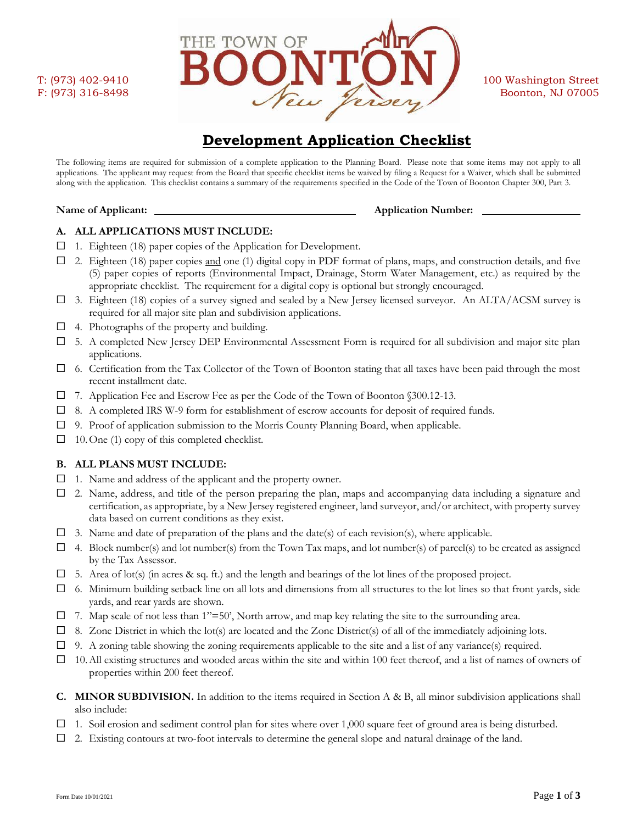

# **Development Application Checklist**

The following items are required for submission of a complete application to the Planning Board. Please note that some items may not apply to all applications. The applicant may request from the Board that specific checklist items be waived by filing a Request for a Waiver, which shall be submitted along with the application. This checklist contains a summary of the requirements specified in the Code of the Town of Boonton Chapter 300, Part 3.

### **Name of Applicant: Applicant: Application Number: Application Number:**

# **A. ALL APPLICATIONS MUST INCLUDE:**

- ☐ 1. Eighteen (18) paper copies of the Application for Development.
- $\Box$  2. Eighteen (18) paper copies and one (1) digital copy in PDF format of plans, maps, and construction details, and five (5) paper copies of reports (Environmental Impact, Drainage, Storm Water Management, etc.) as required by the appropriate checklist. The requirement for a digital copy is optional but strongly encouraged.
- $\Box$  3. Eighteen (18) copies of a survey signed and sealed by a New Jersey licensed surveyor. An ALTA/ACSM survey is required for all major site plan and subdivision applications.
- $\Box$  4. Photographs of the property and building.
- $\Box$  5. A completed New Jersey DEP Environmental Assessment Form is required for all subdivision and major site plan applications.
- $\Box$  6. Certification from the Tax Collector of the Town of Boonton stating that all taxes have been paid through the most recent installment date.
- ☐ 7. Application Fee and Escrow Fee as per the Code of the Town of Boonton §300.12-13.
- ☐ 8. A completed IRS W-9 form for establishment of escrow accounts for deposit of required funds.
- ☐ 9. Proof of application submission to the Morris County Planning Board, when applicable.
- $\Box$  10. One (1) copy of this completed checklist.

# **B. ALL PLANS MUST INCLUDE:**

- ☐ 1. Name and address of the applicant and the property owner.
- ☐ 2. Name, address, and title of the person preparing the plan, maps and accompanying data including a signature and certification, as appropriate, by a New Jersey registered engineer, land surveyor, and/or architect, with property survey data based on current conditions as they exist.
- $\Box$  3. Name and date of preparation of the plans and the date(s) of each revision(s), where applicable.
- $\Box$  4. Block number(s) and lot number(s) from the Town Tax maps, and lot number(s) of parcel(s) to be created as assigned by the Tax Assessor.
- $\Box$  5. Area of lot(s) (in acres & sq. ft.) and the length and bearings of the lot lines of the proposed project.
- $\Box$  6. Minimum building setback line on all lots and dimensions from all structures to the lot lines so that front yards, side yards, and rear yards are shown.
- $\Box$  7. Map scale of not less than 1"=50', North arrow, and map key relating the site to the surrounding area.
- $\Box$  8. Zone District in which the lot(s) are located and the Zone District(s) of all of the immediately adjoining lots.
- ☐ 9. A zoning table showing the zoning requirements applicable to the site and a list of any variance(s) required.
- $\Box$  10. All existing structures and wooded areas within the site and within 100 feet thereof, and a list of names of owners of properties within 200 feet thereof.
- **C. MINOR SUBDIVISION.** In addition to the items required in Section A & B, all minor subdivision applications shall also include:
- $\Box$  1. Soil erosion and sediment control plan for sites where over 1,000 square feet of ground area is being disturbed.
- ☐ 2. Existing contours at two-foot intervals to determine the general slope and natural drainage of the land.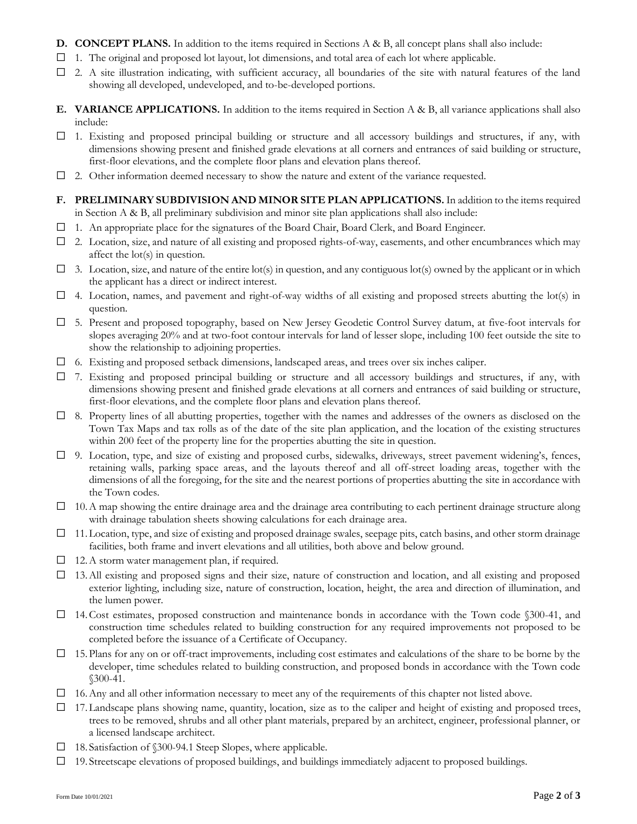- **D. CONCEPT PLANS.** In addition to the items required in Sections A & B, all concept plans shall also include:
- $\Box$  1. The original and proposed lot layout, lot dimensions, and total area of each lot where applicable.
- $\Box$  2. A site illustration indicating, with sufficient accuracy, all boundaries of the site with natural features of the land showing all developed, undeveloped, and to-be-developed portions.
- **E. VARIANCE APPLICATIONS.** In addition to the items required in Section A & B, all variance applications shall also include:
- $\Box$  1. Existing and proposed principal building or structure and all accessory buildings and structures, if any, with dimensions showing present and finished grade elevations at all corners and entrances of said building or structure, first-floor elevations, and the complete floor plans and elevation plans thereof.
- ☐ 2. Other information deemed necessary to show the nature and extent of the variance requested.
- **F. PRELIMINARY SUBDIVISION AND MINOR SITE PLAN APPLICATIONS.** In addition to the items required in Section A & B, all preliminary subdivision and minor site plan applications shall also include:
- ☐ 1. An appropriate place for the signatures of the Board Chair, Board Clerk, and Board Engineer.
- $\Box$  2. Location, size, and nature of all existing and proposed rights-of-way, easements, and other encumbrances which may affect the lot(s) in question.
- $\Box$  3. Location, size, and nature of the entire lot(s) in question, and any contiguous lot(s) owned by the applicant or in which the applicant has a direct or indirect interest.
- $\Box$  4. Location, names, and pavement and right-of-way widths of all existing and proposed streets abutting the lot(s) in question.
- ☐ 5. Present and proposed topography, based on New Jersey Geodetic Control Survey datum, at five-foot intervals for slopes averaging 20% and at two-foot contour intervals for land of lesser slope, including 100 feet outside the site to show the relationship to adjoining properties.
- ☐ 6. Existing and proposed setback dimensions, landscaped areas, and trees over six inches caliper.
- ☐ 7. Existing and proposed principal building or structure and all accessory buildings and structures, if any, with dimensions showing present and finished grade elevations at all corners and entrances of said building or structure, first-floor elevations, and the complete floor plans and elevation plans thereof.
- ☐ 8. Property lines of all abutting properties, together with the names and addresses of the owners as disclosed on the Town Tax Maps and tax rolls as of the date of the site plan application, and the location of the existing structures within 200 feet of the property line for the properties abutting the site in question.
- ☐ 9. Location, type, and size of existing and proposed curbs, sidewalks, driveways, street pavement widening's, fences, retaining walls, parking space areas, and the layouts thereof and all off-street loading areas, together with the dimensions of all the foregoing, for the site and the nearest portions of properties abutting the site in accordance with the Town codes.
- $\Box$  10. A map showing the entire drainage area and the drainage area contributing to each pertinent drainage structure along with drainage tabulation sheets showing calculations for each drainage area.
- $\Box$  11. Location, type, and size of existing and proposed drainage swales, seepage pits, catch basins, and other storm drainage facilities, both frame and invert elevations and all utilities, both above and below ground.
- ☐ 12.A storm water management plan, if required.
- ☐ 13.All existing and proposed signs and their size, nature of construction and location, and all existing and proposed exterior lighting, including size, nature of construction, location, height, the area and direction of illumination, and the lumen power.
- ☐ 14.Cost estimates, proposed construction and maintenance bonds in accordance with the Town code §300-41, and construction time schedules related to building construction for any required improvements not proposed to be completed before the issuance of a Certificate of Occupancy.
- $\Box$  15. Plans for any on or off-tract improvements, including cost estimates and calculations of the share to be borne by the developer, time schedules related to building construction, and proposed bonds in accordance with the Town code §300-41.
- ☐ 16.Any and all other information necessary to meet any of the requirements of this chapter not listed above.
- $\Box$  17. Landscape plans showing name, quantity, location, size as to the caliper and height of existing and proposed trees, trees to be removed, shrubs and all other plant materials, prepared by an architect, engineer, professional planner, or a licensed landscape architect.
- ☐ 18. Satisfaction of §300-94.1 Steep Slopes, where applicable.
- ☐ 19. Streetscape elevations of proposed buildings, and buildings immediately adjacent to proposed buildings.